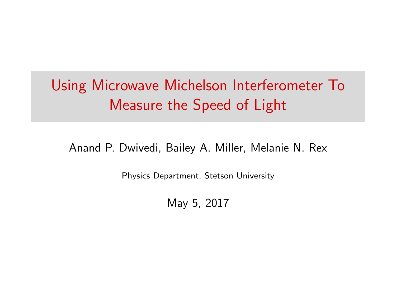# Using Microwave Michelson Interferometer To Measure the Speed of Light

Anand P. Dwivedi, Bailey A. Miller, Melanie N. Rex

Physics Department, Stetson University

May 5, 2017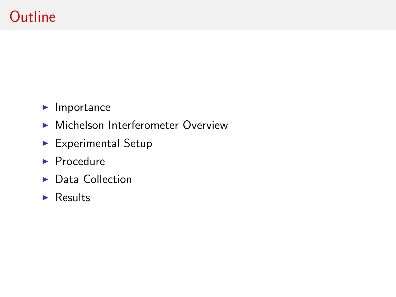## **Outline**

- $\blacktriangleright$  Importance
- $\blacktriangleright$  Michelson Interferometer Overview
- $\blacktriangleright$  Experimental Setup
- $\blacktriangleright$  Procedure
- $\blacktriangleright$  Data Collection
- $\blacktriangleright$  Results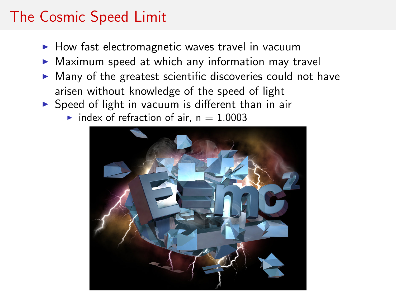## The Cosmic Speed Limit

- $\blacktriangleright$  How fast electromagnetic waves travel in vacuum
- $\triangleright$  Maximum speed at which any information may travel
- $\triangleright$  Many of the greatest scientific discoveries could not have arisen without knowledge of the speed of light
- $\triangleright$  Speed of light in vacuum is different than in air
	- $\blacktriangleright$  index of refraction of air, n = 1.0003

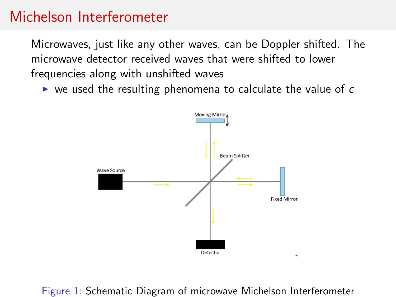#### Michelson Interferometer

Microwaves, just like any other waves, can be Doppler shifted. The microwave detector received waves that were shifted to lower frequencies along with unshifted waves

 $\triangleright$  we used the resulting phenomena to calculate the value of c



Figure 1: Schematic Diagram of microwave Michelson Interferometer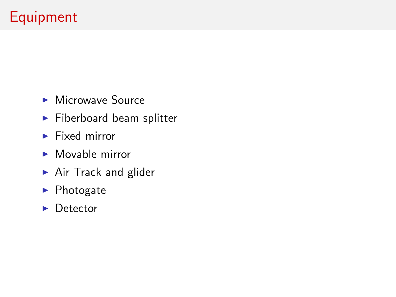# Equipment

- $\blacktriangleright$  Microwave Source
- $\blacktriangleright$  Fiberboard beam splitter
- $\blacktriangleright$  Fixed mirror
- $\blacktriangleright$  Movable mirror
- $\blacktriangleright$  Air Track and glider
- $\blacktriangleright$  Photogate
- $\blacktriangleright$  Detector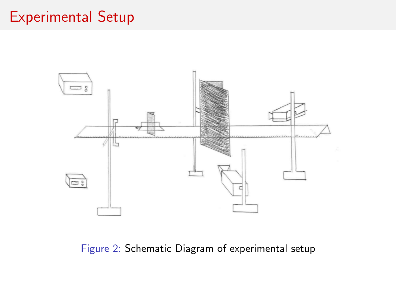## Experimental Setup



Figure 2: Schematic Diagram of experimental setup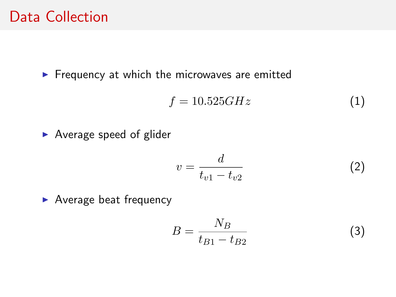#### Data Collection

 $\blacktriangleright$  Frequency at which the microwaves are emitted

$$
f = 10.525GHz \tag{1}
$$

 $\blacktriangleright$  Average speed of glider

$$
v = \frac{d}{t_{v1} - t_{v2}}\tag{2}
$$

 $\blacktriangleright$  Average beat frequency

$$
B = \frac{N_B}{t_{B1} - t_{B2}}\tag{3}
$$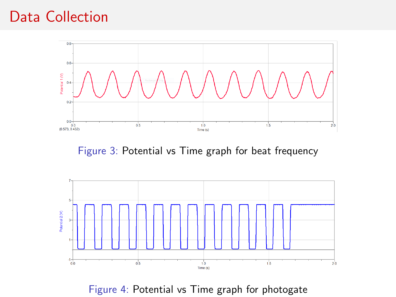#### Data Collection



Figure 3: Potential vs Time graph for beat frequency



Figure 4: Potential vs Time graph for photogate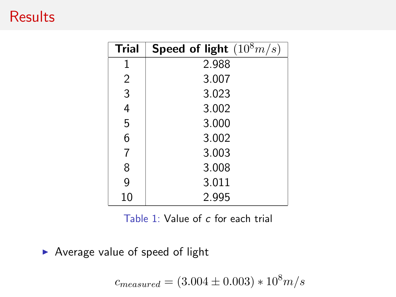### **Results**

| <b>Trial</b> | Speed of light $(10^8 m/s)$ |
|--------------|-----------------------------|
| 1            | 2.988                       |
| 2            | 3.007                       |
| 3            | 3.023                       |
| 4            | 3.002                       |
| 5            | 3.000                       |
| 6            | 3.002                       |
| 7            | 3.003                       |
| 8            | 3.008                       |
| 9            | 3.011                       |
| 10           | 2.995                       |

Table 1: Value of c for each trial

 $\blacktriangleright$  Average value of speed of light

 $c_{measured} = (3.004 \pm 0.003) * 10^8 m/s$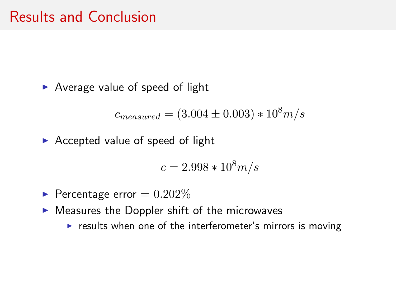$\blacktriangleright$  Average value of speed of light

$$
c_{measured} = (3.004 \pm 0.003) * 10^8 m/s
$$

 $\triangleright$  Accepted value of speed of light

$$
c = 2.998 * 10^8 m/s
$$

- Percentage error  $= 0.202\%$
- $\blacktriangleright$  Measures the Doppler shift of the microwaves
	- $\triangleright$  results when one of the interferometer's mirrors is moving